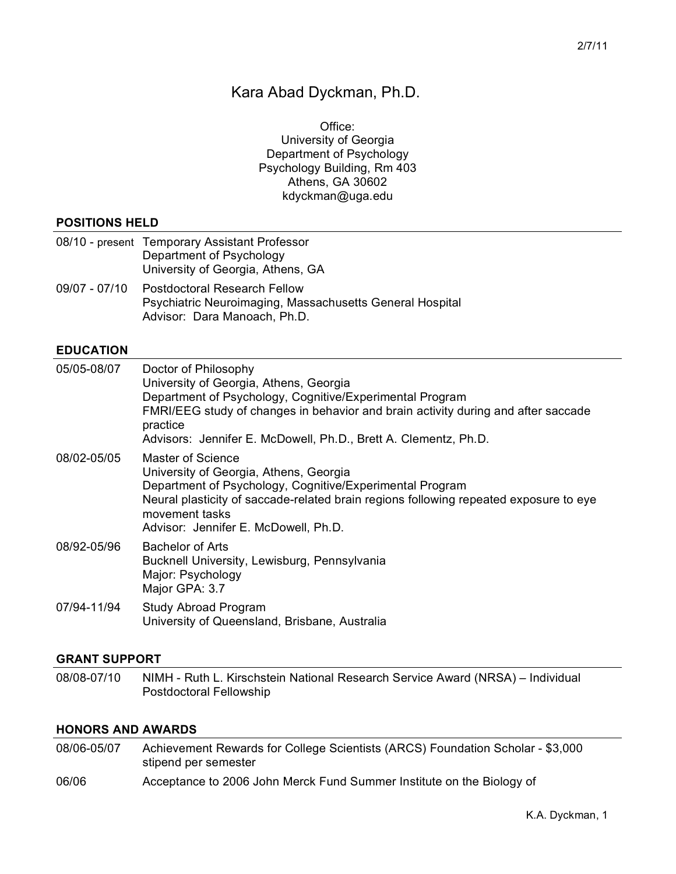# Kara Abad Dyckman, Ph.D.

Office: University of Georgia Department of Psychology Psychology Building, Rm 403 Athens, GA 30602 kdyckman@uga.edu

#### **POSITIONS HELD**

|               | 08/10 - present Temporary Assistant Professor<br>Department of Psychology<br>University of Georgia, Athens, GA                  |
|---------------|---------------------------------------------------------------------------------------------------------------------------------|
| 09/07 - 07/10 | <b>Postdoctoral Research Fellow</b><br>Psychiatric Neuroimaging, Massachusetts General Hospital<br>Advisor: Dara Manoach, Ph.D. |

#### **EDUCATION**

| 05/05-08/07 | Doctor of Philosophy<br>University of Georgia, Athens, Georgia<br>Department of Psychology, Cognitive/Experimental Program<br>FMRI/EEG study of changes in behavior and brain activity during and after saccade<br>practice<br>Advisors: Jennifer E. McDowell, Ph.D., Brett A. Clementz, Ph.D. |
|-------------|------------------------------------------------------------------------------------------------------------------------------------------------------------------------------------------------------------------------------------------------------------------------------------------------|
| 08/02-05/05 | Master of Science<br>University of Georgia, Athens, Georgia<br>Department of Psychology, Cognitive/Experimental Program<br>Neural plasticity of saccade-related brain regions following repeated exposure to eye<br>movement tasks<br>Advisor: Jennifer E. McDowell, Ph.D.                     |
| 08/92-05/96 | Bachelor of Arts<br>Bucknell University, Lewisburg, Pennsylvania<br>Major: Psychology<br>Major GPA: 3.7                                                                                                                                                                                        |
| 07/94-11/94 | Study Abroad Program<br>University of Queensland, Brisbane, Australia                                                                                                                                                                                                                          |

#### **GRANT SUPPORT**

08/08-07/10 NIMH - Ruth L. Kirschstein National Research Service Award (NRSA) – Individual Postdoctoral Fellowship

# **HONORS AND AWARDS**

| 08/06-05/07 | Achievement Rewards for College Scientists (ARCS) Foundation Scholar - \$3,000<br>stipend per semester |
|-------------|--------------------------------------------------------------------------------------------------------|
| 06/06       | Acceptance to 2006 John Merck Fund Summer Institute on the Biology of                                  |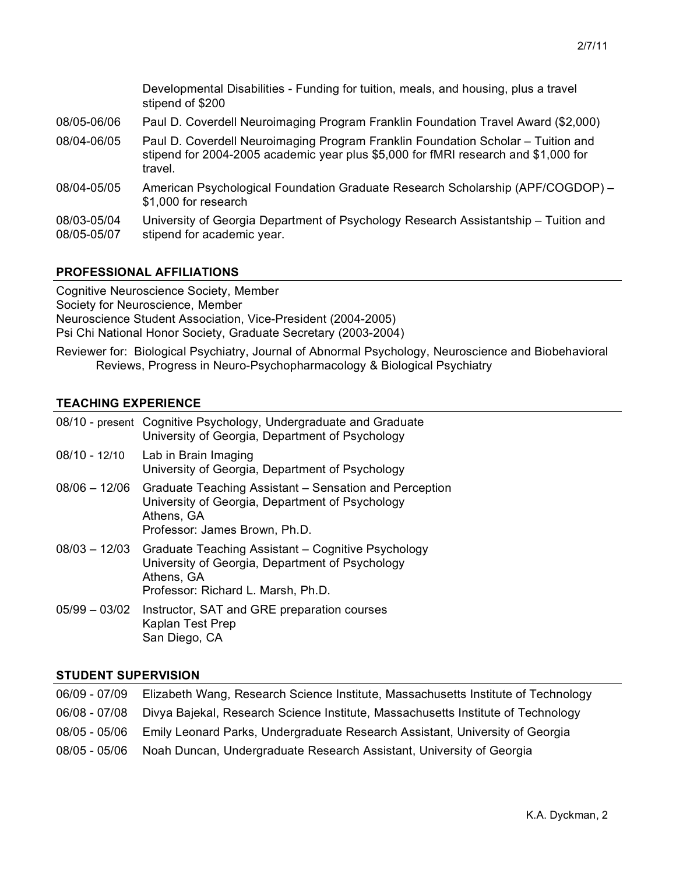|                            | Developmental Disabilities - Funding for tuition, meals, and housing, plus a travel<br>stipend of \$200                                                                           |
|----------------------------|-----------------------------------------------------------------------------------------------------------------------------------------------------------------------------------|
| 08/05-06/06                | Paul D. Coverdell Neuroimaging Program Franklin Foundation Travel Award (\$2,000)                                                                                                 |
| 08/04-06/05                | Paul D. Coverdell Neuroimaging Program Franklin Foundation Scholar - Tuition and<br>stipend for 2004-2005 academic year plus \$5,000 for fMRI research and \$1,000 for<br>travel. |
| 08/04-05/05                | American Psychological Foundation Graduate Research Scholarship (APF/COGDOP) -<br>\$1,000 for research                                                                            |
| 08/03-05/04<br>08/05-05/07 | University of Georgia Department of Psychology Research Assistantship – Tuition and<br>stipend for academic year.                                                                 |

# **PROFESSIONAL AFFILIATIONS**

Cognitive Neuroscience Society, Member Society for Neuroscience, Member Neuroscience Student Association, Vice-President (2004-2005) Psi Chi National Honor Society, Graduate Secretary (2003-2004)

Reviewer for: Biological Psychiatry, Journal of Abnormal Psychology, Neuroscience and Biobehavioral Reviews, Progress in Neuro-Psychopharmacology & Biological Psychiatry

# **TEACHING EXPERIENCE**

|               | 08/10 - present Cognitive Psychology, Undergraduate and Graduate<br>University of Georgia, Department of Psychology                                                     |
|---------------|-------------------------------------------------------------------------------------------------------------------------------------------------------------------------|
| 08/10 - 12/10 | Lab in Brain Imaging<br>University of Georgia, Department of Psychology                                                                                                 |
| 08/06 - 12/06 | Graduate Teaching Assistant – Sensation and Perception<br>University of Georgia, Department of Psychology<br>Athens, GA<br>Professor: James Brown, Ph.D.                |
|               | 08/03 - 12/03 Graduate Teaching Assistant - Cognitive Psychology<br>University of Georgia, Department of Psychology<br>Athens, GA<br>Professor: Richard L. Marsh, Ph.D. |
|               | 05/99 - 03/02 Instructor, SAT and GRE preparation courses<br>Kaplan Test Prep<br>San Diego, CA                                                                          |

# **STUDENT SUPERVISION**

| 06/09 - 07/09 | Elizabeth Wang, Research Science Institute, Massachusetts Institute of Technology              |
|---------------|------------------------------------------------------------------------------------------------|
|               | 06/08 - 07/08 Divya Bajekal, Research Science Institute, Massachusetts Institute of Technology |
|               | 08/05 - 05/06 Emily Leonard Parks, Undergraduate Research Assistant, University of Georgia     |
|               | 08/05 - 05/06 Noah Duncan, Undergraduate Research Assistant, University of Georgia             |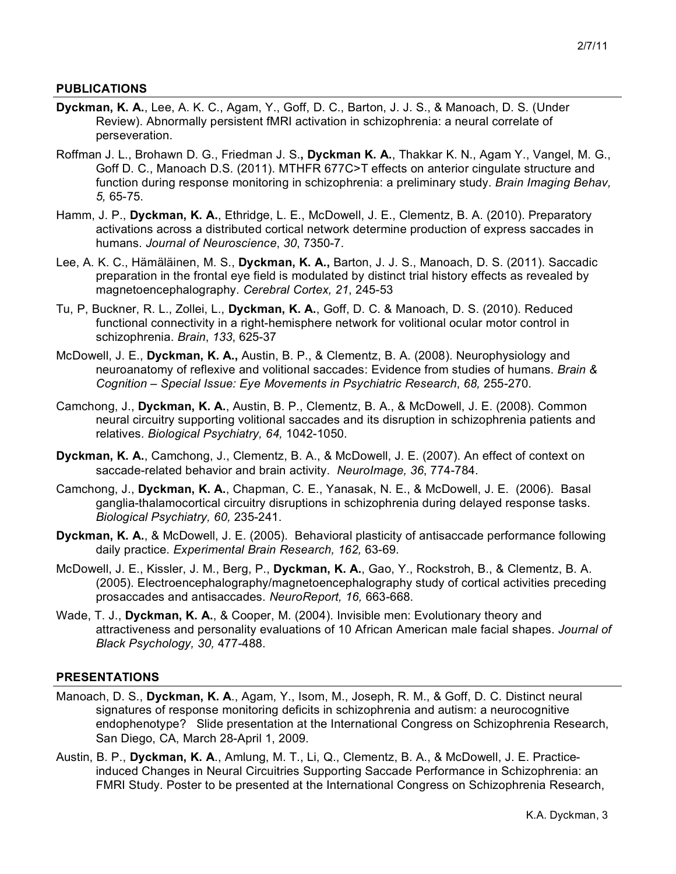### **PUBLICATIONS**

- **Dyckman, K. A.**, Lee, A. K. C., Agam, Y., Goff, D. C., Barton, J. J. S., & Manoach, D. S. (Under Review). Abnormally persistent fMRI activation in schizophrenia: a neural correlate of perseveration.
- Roffman J. L., Brohawn D. G., Friedman J. S.**, Dyckman K. A.**, Thakkar K. N., Agam Y., Vangel, M. G., Goff D. C., Manoach D.S. (2011). MTHFR 677C>T effects on anterior cingulate structure and function during response monitoring in schizophrenia: a preliminary study. *Brain Imaging Behav, 5,* 65-75.
- Hamm, J. P., **Dyckman, K. A.**, Ethridge, L. E., McDowell, J. E., Clementz, B. A. (2010). Preparatory activations across a distributed cortical network determine production of express saccades in humans. *Journal of Neuroscience*, *30*, 7350-7.
- Lee, A. K. C., Hämäläinen, M. S., **Dyckman, K. A.,** Barton, J. J. S., Manoach, D. S. (2011). Saccadic preparation in the frontal eye field is modulated by distinct trial history effects as revealed by magnetoencephalography. *Cerebral Cortex, 21*, 245-53
- Tu, P, Buckner, R. L., Zollei, L., **Dyckman, K. A.**, Goff, D. C. & Manoach, D. S. (2010). Reduced functional connectivity in a right-hemisphere network for volitional ocular motor control in schizophrenia. *Brain*, *133*, 625-37
- McDowell, J. E., **Dyckman, K. A.,** Austin, B. P., & Clementz, B. A. (2008). Neurophysiology and neuroanatomy of reflexive and volitional saccades: Evidence from studies of humans. *Brain & Cognition – Special Issue: Eye Movements in Psychiatric Research*, *68,* 255-270.
- Camchong, J., **Dyckman, K. A.**, Austin, B. P., Clementz, B. A., & McDowell, J. E. (2008). Common neural circuitry supporting volitional saccades and its disruption in schizophrenia patients and relatives. *Biological Psychiatry, 64,* 1042-1050.
- **Dyckman, K. A.**, Camchong, J., Clementz, B. A., & McDowell, J. E. (2007). An effect of context on saccade-related behavior and brain activity. *NeuroImage, 36*, 774-784.
- Camchong, J., **Dyckman, K. A.**, Chapman, C. E., Yanasak, N. E., & McDowell, J. E. (2006). Basal ganglia-thalamocortical circuitry disruptions in schizophrenia during delayed response tasks. *Biological Psychiatry, 60,* 235-241.
- **Dyckman, K. A.**, & McDowell, J. E. (2005). Behavioral plasticity of antisaccade performance following daily practice. *Experimental Brain Research, 162,* 63-69.
- McDowell, J. E., Kissler, J. M., Berg, P., **Dyckman, K. A.**, Gao, Y., Rockstroh, B., & Clementz, B. A. (2005). Electroencephalography/magnetoencephalography study of cortical activities preceding prosaccades and antisaccades. *NeuroReport, 16,* 663-668.
- Wade, T. J., **Dyckman, K. A.**, & Cooper, M. (2004). Invisible men: Evolutionary theory and attractiveness and personality evaluations of 10 African American male facial shapes. *Journal of Black Psychology, 30,* 477-488.

### **PRESENTATIONS**

- Manoach, D. S., **Dyckman, K. A**., Agam, Y., Isom, M., Joseph, R. M., & Goff, D. C. Distinct neural signatures of response monitoring deficits in schizophrenia and autism: a neurocognitive endophenotype? Slide presentation at the International Congress on Schizophrenia Research, San Diego, CA, March 28-April 1, 2009.
- Austin, B. P., **Dyckman, K. A**., Amlung, M. T., Li, Q., Clementz, B. A., & McDowell, J. E. Practiceinduced Changes in Neural Circuitries Supporting Saccade Performance in Schizophrenia: an FMRI Study. Poster to be presented at the International Congress on Schizophrenia Research,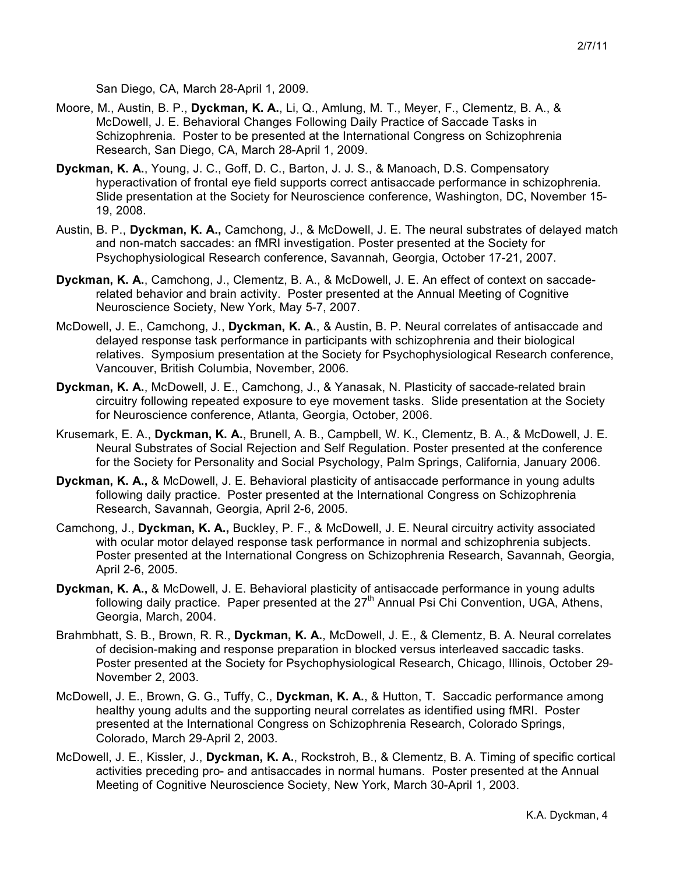San Diego, CA, March 28-April 1, 2009.

- Moore, M., Austin, B. P., **Dyckman, K. A.**, Li, Q., Amlung, M. T., Meyer, F., Clementz, B. A., & McDowell, J. E. Behavioral Changes Following Daily Practice of Saccade Tasks in Schizophrenia. Poster to be presented at the International Congress on Schizophrenia Research, San Diego, CA, March 28-April 1, 2009.
- **Dyckman, K. A.**, Young, J. C., Goff, D. C., Barton, J. J. S., & Manoach, D.S. Compensatory hyperactivation of frontal eye field supports correct antisaccade performance in schizophrenia. Slide presentation at the Society for Neuroscience conference, Washington, DC, November 15- 19, 2008.
- Austin, B. P., **Dyckman, K. A.,** Camchong, J., & McDowell, J. E. The neural substrates of delayed match and non-match saccades: an fMRI investigation. Poster presented at the Society for Psychophysiological Research conference, Savannah, Georgia, October 17-21, 2007.
- **Dyckman, K. A.**, Camchong, J., Clementz, B. A., & McDowell, J. E. An effect of context on saccaderelated behavior and brain activity. Poster presented at the Annual Meeting of Cognitive Neuroscience Society, New York, May 5-7, 2007.
- McDowell, J. E., Camchong, J., **Dyckman, K. A.**, & Austin, B. P. Neural correlates of antisaccade and delayed response task performance in participants with schizophrenia and their biological relatives. Symposium presentation at the Society for Psychophysiological Research conference, Vancouver, British Columbia, November, 2006.
- **Dyckman, K. A.**, McDowell, J. E., Camchong, J., & Yanasak, N. Plasticity of saccade-related brain circuitry following repeated exposure to eye movement tasks. Slide presentation at the Society for Neuroscience conference, Atlanta, Georgia, October, 2006.
- Krusemark, E. A., **Dyckman, K. A.**, Brunell, A. B., Campbell, W. K., Clementz, B. A., & McDowell, J. E. Neural Substrates of Social Rejection and Self Regulation. Poster presented at the conference for the Society for Personality and Social Psychology, Palm Springs, California, January 2006.
- **Dyckman, K. A.,** & McDowell, J. E. Behavioral plasticity of antisaccade performance in young adults following daily practice. Poster presented at the International Congress on Schizophrenia Research, Savannah, Georgia, April 2-6, 2005.
- Camchong, J., **Dyckman, K. A.,** Buckley, P. F., & McDowell, J. E. Neural circuitry activity associated with ocular motor delayed response task performance in normal and schizophrenia subjects. Poster presented at the International Congress on Schizophrenia Research, Savannah, Georgia, April 2-6, 2005.
- **Dyckman, K. A.,** & McDowell, J. E. Behavioral plasticity of antisaccade performance in young adults following daily practice. Paper presented at the 27<sup>th</sup> Annual Psi Chi Convention, UGA, Athens, Georgia, March, 2004.
- Brahmbhatt, S. B., Brown, R. R., **Dyckman, K. A.**, McDowell, J. E., & Clementz, B. A. Neural correlates of decision-making and response preparation in blocked versus interleaved saccadic tasks. Poster presented at the Society for Psychophysiological Research, Chicago, Illinois, October 29- November 2, 2003.
- McDowell, J. E., Brown, G. G., Tuffy, C., **Dyckman, K. A.**, & Hutton, T. Saccadic performance among healthy young adults and the supporting neural correlates as identified using fMRI. Poster presented at the International Congress on Schizophrenia Research, Colorado Springs, Colorado, March 29-April 2, 2003.
- McDowell, J. E., Kissler, J., **Dyckman, K. A.**, Rockstroh, B., & Clementz, B. A. Timing of specific cortical activities preceding pro- and antisaccades in normal humans. Poster presented at the Annual Meeting of Cognitive Neuroscience Society, New York, March 30-April 1, 2003.